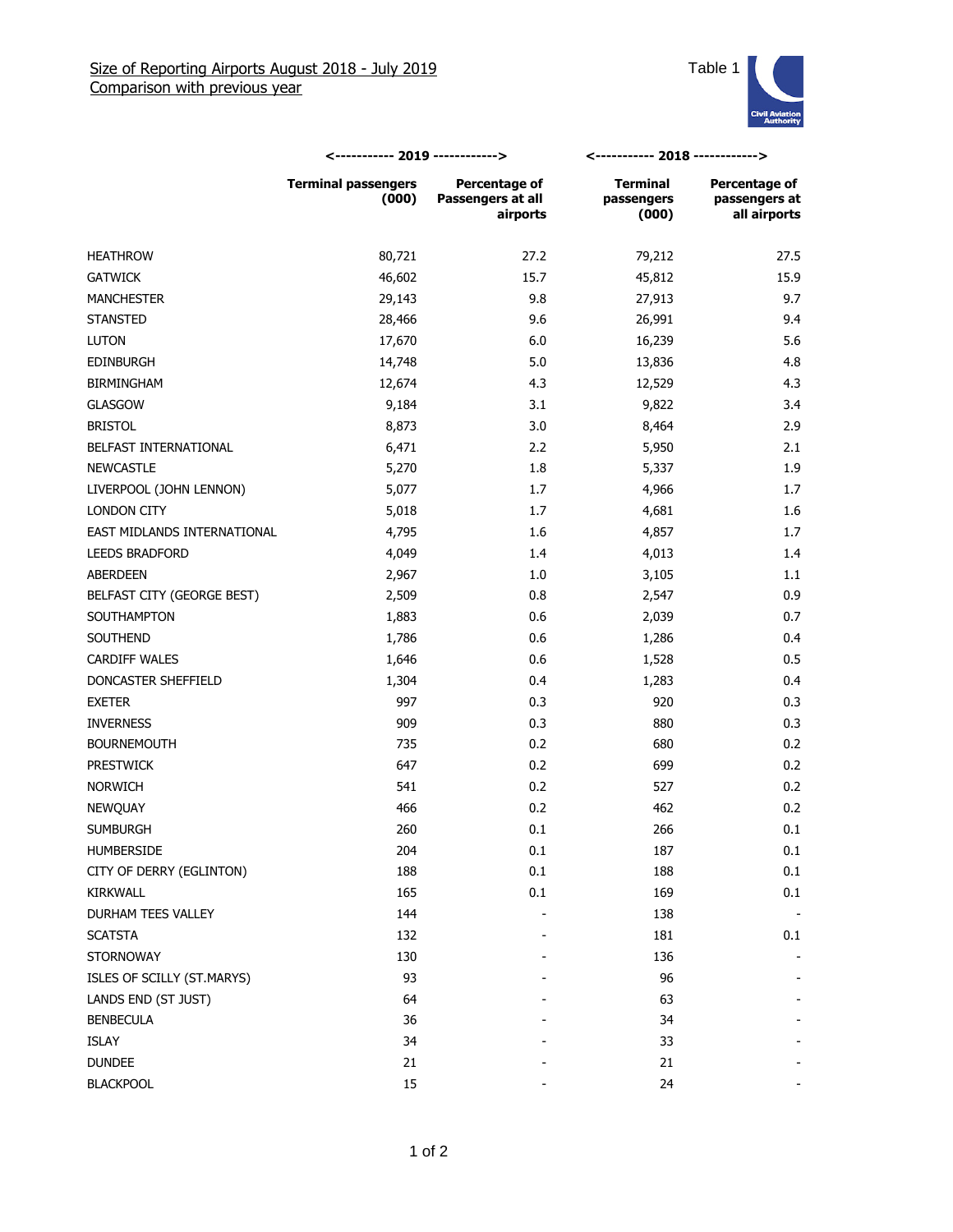

|                             | <----------- 2019 ------------>     |                                                | <----------- 2018 ------------>        |                                                |
|-----------------------------|-------------------------------------|------------------------------------------------|----------------------------------------|------------------------------------------------|
|                             | <b>Terminal passengers</b><br>(000) | Percentage of<br>Passengers at all<br>airports | <b>Terminal</b><br>passengers<br>(000) | Percentage of<br>passengers at<br>all airports |
| <b>HEATHROW</b>             | 80,721                              | 27.2                                           | 79,212                                 | 27.5                                           |
| <b>GATWICK</b>              | 46,602                              | 15.7                                           | 45,812                                 | 15.9                                           |
| <b>MANCHESTER</b>           | 29,143                              | 9.8                                            | 27,913                                 | 9.7                                            |
| <b>STANSTED</b>             | 28,466                              | 9.6                                            | 26,991                                 | 9.4                                            |
| <b>LUTON</b>                | 17,670                              | 6.0                                            | 16,239                                 | 5.6                                            |
| <b>EDINBURGH</b>            | 14,748                              | 5.0                                            | 13,836                                 | 4.8                                            |
| <b>BIRMINGHAM</b>           | 12,674                              | 4.3                                            | 12,529                                 | 4.3                                            |
| <b>GLASGOW</b>              | 9,184                               | 3.1                                            | 9,822                                  | 3.4                                            |
| <b>BRISTOL</b>              | 8,873                               | 3.0                                            | 8,464                                  | 2.9                                            |
| BELFAST INTERNATIONAL       | 6,471                               | 2.2                                            | 5,950                                  | 2.1                                            |
| <b>NEWCASTLE</b>            | 5,270                               | 1.8                                            | 5,337                                  | 1.9                                            |
| LIVERPOOL (JOHN LENNON)     | 5,077                               | 1.7                                            | 4,966                                  | 1.7                                            |
| <b>LONDON CITY</b>          | 5,018                               | 1.7                                            | 4,681                                  | 1.6                                            |
| EAST MIDLANDS INTERNATIONAL | 4,795                               | 1.6                                            | 4,857                                  | 1.7                                            |
| <b>LEEDS BRADFORD</b>       | 4,049                               | 1.4                                            | 4,013                                  | 1.4                                            |
| ABERDEEN                    | 2,967                               | 1.0                                            | 3,105                                  | 1.1                                            |
| BELFAST CITY (GEORGE BEST)  | 2,509                               | 0.8                                            | 2,547                                  | 0.9                                            |
| SOUTHAMPTON                 | 1,883                               | 0.6                                            | 2,039                                  | 0.7                                            |
| SOUTHEND                    | 1,786                               | 0.6                                            | 1,286                                  | 0.4                                            |
| <b>CARDIFF WALES</b>        | 1,646                               | 0.6                                            | 1,528                                  | 0.5                                            |
| DONCASTER SHEFFIELD         | 1,304                               | 0.4                                            | 1,283                                  | 0.4                                            |
| <b>EXETER</b>               | 997                                 | 0.3                                            | 920                                    | 0.3                                            |
| <b>INVERNESS</b>            | 909                                 | 0.3                                            | 880                                    | 0.3                                            |
| <b>BOURNEMOUTH</b>          | 735                                 | 0.2                                            | 680                                    | 0.2                                            |
| <b>PRESTWICK</b>            | 647                                 | 0.2                                            | 699                                    | 0.2                                            |
| <b>NORWICH</b>              | 541                                 | 0.2                                            | 527                                    | 0.2                                            |
| NEWQUAY                     | 466                                 | 0.2                                            | 462                                    | 0.2                                            |
| <b>SUMBURGH</b>             | 260                                 | 0.1                                            | 266                                    | 0.1                                            |
| HUMBERSIDE                  | 204                                 | 0.1                                            | 187                                    | 0.1                                            |
| CITY OF DERRY (EGLINTON)    | 188                                 | 0.1                                            | 188                                    | 0.1                                            |
| <b>KIRKWALL</b>             | 165                                 | 0.1                                            | 169                                    | 0.1                                            |
| DURHAM TEES VALLEY          | 144                                 |                                                | 138                                    |                                                |
| <b>SCATSTA</b>              | 132                                 |                                                | 181                                    | 0.1                                            |
| <b>STORNOWAY</b>            | 130                                 |                                                | 136                                    |                                                |
| ISLES OF SCILLY (ST.MARYS)  | 93                                  |                                                | 96                                     |                                                |
| LANDS END (ST JUST)         | 64                                  |                                                | 63                                     |                                                |
| <b>BENBECULA</b>            | 36                                  |                                                | 34                                     |                                                |
| <b>ISLAY</b>                | 34                                  |                                                | 33                                     |                                                |
| <b>DUNDEE</b>               | 21                                  |                                                | 21                                     |                                                |
| <b>BLACKPOOL</b>            | 15                                  |                                                | 24                                     |                                                |